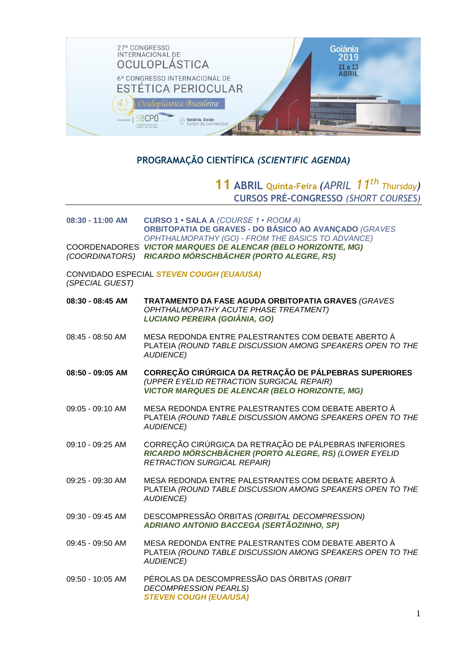

# **PROGRAMAÇÃO CIENTÍFICA** *(SCIENTIFIC AGENDA)*

# **11 ABRIL Quinta-Feira** *(APRIL 11th Thursday)* **CURSOS PRÉ-CONGRESSO** *(SHORT COURSES)*

| 08:30 - 11:00 AM                                             | CURSO 1 · SALA A (COURSE 1 · ROOM A)<br>ORBITOPATIA DE GRAVES - DO BÁSICO AO AVANÇADO (GRAVES<br>OPHTHALMOPATHY (GO) - FROM THE BASICS TO ADVANCE)           |  |
|--------------------------------------------------------------|--------------------------------------------------------------------------------------------------------------------------------------------------------------|--|
| (COORDINATORS)                                               | COORDENADORES VICTOR MARQUES DE ALENCAR (BELO HORIZONTE, MG)<br>RICARDO MÖRSCHBÄCHER (PORTO ALEGRE, RS)                                                      |  |
| CONVIDADO ESPECIAL STEVEN COUGH (EUA/USA)<br>(SPECIAL GUEST) |                                                                                                                                                              |  |
| 08:30 - 08:45 AM                                             | TRATAMENTO DA FASE AGUDA ORBITOPATIA GRAVES (GRAVES<br>OPHTHALMOPATHY ACUTE PHASE TREATMENT)<br>LUCIANO PEREIRA (GOIÂNIA, GO)                                |  |
| 08:45 - 08:50 AM                                             | MESA REDONDA ENTRE PALESTRANTES COM DEBATE ABERTO À<br>PLATEIA (ROUND TABLE DISCUSSION AMONG SPEAKERS OPEN TO THE<br><b>AUDIENCE)</b>                        |  |
| 08:50 - 09:05 AM                                             | CORREÇÃO CIRÚRGICA DA RETRAÇÃO DE PÁLPEBRAS SUPERIORES<br>(UPPER EYELID RETRACTION SURGICAL REPAIR)<br><b>VICTOR MARQUES DE ALENCAR (BELO HORIZONTE, MG)</b> |  |
| 09:05 - 09:10 AM                                             | MESA REDONDA ENTRE PALESTRANTES COM DEBATE ABERTO À<br>PLATEIA (ROUND TABLE DISCUSSION AMONG SPEAKERS OPEN TO THE<br><b>AUDIENCE)</b>                        |  |
| 09:10 - 09:25 AM                                             | CORREÇÃO CIRÚRGICA DA RETRAÇÃO DE PÁLPEBRAS INFERIORES<br>RICARDO MÖRSCHBÄCHER (PORTO ALEGRE, RS) (LOWER EYELID<br><b>RETRACTION SURGICAL REPAIR)</b>        |  |
| 09:25 - 09:30 AM                                             | MESA REDONDA ENTRE PALESTRANTES COM DEBATE ABERTO À<br>PLATEIA (ROUND TABLE DISCUSSION AMONG SPEAKERS OPEN TO THE<br><b>AUDIENCE)</b>                        |  |
| 09:30 - 09:45 AM                                             | DESCOMPRESSÃO ÓRBITAS (ORBITAL DECOMPRESSION)<br>ADRIANO ANTONIO BACCEGA (SERTÃOZINHO, SP)                                                                   |  |
| 09:45 - 09:50 AM                                             | MESA REDONDA ENTRE PALESTRANTES COM DEBATE ABERTO À<br>PLATEIA (ROUND TABLE DISCUSSION AMONG SPEAKERS OPEN TO THE<br><b>AUDIENCE)</b>                        |  |
| 09:50 - 10:05 AM                                             | PÉROLAS DA DESCOMPRESSÃO DAS ÓRBITAS (ORBIT<br><b>DECOMPRESSION PEARLS)</b><br><b>STEVEN COUGH (EUA/USA)</b>                                                 |  |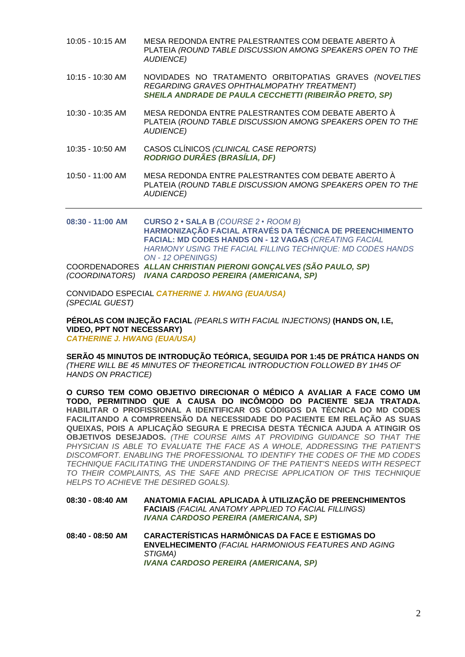| 10:05 - 10:15 AM   | MESA REDONDA ENTRE PALESTRANTES COM DEBATE ABERTO À<br>PLATEIA (ROUND TABLE DISCUSSION AMONG SPEAKERS OPEN TO THE<br><b>AUDIENCE)</b>                                                                                                       |
|--------------------|---------------------------------------------------------------------------------------------------------------------------------------------------------------------------------------------------------------------------------------------|
| $10:15 - 10:30$ AM | NOVIDADES NO TRATAMENTO ORBITOPATIAS GRAVES (NOVELTIES<br>REGARDING GRAVES OPHTHALMOPATHY TREATMENT)<br>SHEILA ANDRADE DE PAULA CECCHETTI (RIBEIRÃO PRETO, SP)                                                                              |
| 10:30 - 10:35 AM   | MESA REDONDA ENTRE PALESTRANTES COM DEBATE ABERTO À<br>PLATEIA (ROUND TABLE DISCUSSION AMONG SPEAKERS OPEN TO THE<br><b>AUDIENCE)</b>                                                                                                       |
| 10:35 - 10:50 AM   | CASOS CLÍNICOS (CLINICAL CASE REPORTS)<br>RODRIGO DURÃES (BRASÍLIA, DF)                                                                                                                                                                     |
| 10:50 - 11:00 AM   | MESA REDONDA ENTRE PALESTRANTES COM DEBATE ABERTO À<br>PLATEIA (ROUND TABLE DISCUSSION AMONG SPEAKERS OPEN TO THE<br><b>AUDIENCE)</b>                                                                                                       |
| 08:30 - 11:00 AM   | CURSO 2 · SALA B (COURSE 2 · ROOM B)<br>HARMONIZAÇÃO FACIAL ATRAVÉS DA TÉCNICA DE PREENCHIMENTO<br>FACIAL: MD CODES HANDS ON - 12 VAGAS (CREATING FACIAL<br>HARMONY USING THE FACIAL FILLING TECHNIQUE: MD CODES HANDS<br>ON - 12 OPENINGS) |
|                    | COORDENADORES ALLAN CHRISTIAN PIERONI GONÇALVES (SÃO PAULO, SP)<br>(COORDINATORS) IVANA CARDOSO PEREIRA (AMERICANA, SP)                                                                                                                     |

CONVIDADO ESPECIAL *CATHERINE J. HWANG (EUA/USA) (SPECIAL GUEST)*

**PÉROLAS COM INJEÇÃO FACIAL** *(PEARLS WITH FACIAL INJECTIONS)* **(HANDS ON, I.E, VIDEO, PPT NOT NECESSARY)**  *CATHERINE J. HWANG (EUA/USA)*

**SERÃO 45 MINUTOS DE INTRODUÇÃO TEÓRICA, SEGUIDA POR 1:45 DE PRÁTICA HANDS ON** *(THERE WILL BE 45 MINUTES OF THEORETICAL INTRODUCTION FOLLOWED BY 1H45 OF HANDS ON PRACTICE)*

**O CURSO TEM COMO OBJETIVO DIRECIONAR O MÉDICO A AVALIAR A FACE COMO UM TODO, PERMITINDO QUE A CAUSA DO INCÔMODO DO PACIENTE SEJA TRATADA. HABILITAR O PROFISSIONAL A IDENTIFICAR OS CÓDIGOS DA TÉCNICA DO MD CODES FACILITANDO A COMPREENSÃO DA NECESSIDADE DO PACIENTE EM RELAÇÃO AS SUAS QUEIXAS, POIS A APLICAÇÃO SEGURA E PRECISA DESTA TÉCNICA AJUDA A ATINGIR OS OBJETIVOS DESEJADOS.** *(THE COURSE AIMS AT PROVIDING GUIDANCE SO THAT THE PHYSICIAN IS ABLE TO EVALUATE THE FACE AS A WHOLE, ADDRESSING THE PATIENT'S DISCOMFORT. ENABLING THE PROFESSIONAL TO IDENTIFY THE CODES OF THE MD CODES TECHNIQUE FACILITATING THE UNDERSTANDING OF THE PATIENT'S NEEDS WITH RESPECT TO THEIR COMPLAINTS, AS THE SAFE AND PRECISE APPLICATION OF THIS TECHNIQUE HELPS TO ACHIEVE THE DESIRED GOALS).*

**08:30 - 08:40 AM ANATOMIA FACIAL APLICADA À UTILIZAÇÃO DE PREENCHIMENTOS FACIAIS** *(FACIAL ANATOMY APPLIED TO FACIAL FILLINGS) IVANA CARDOSO PEREIRA (AMERICANA, SP)*

**08:40 - 08:50 AM CARACTERÍSTICAS HARMÔNICAS DA FACE E ESTIGMAS DO ENVELHECIMENTO** *(FACIAL HARMONIOUS FEATURES AND AGING STIGMA) IVANA CARDOSO PEREIRA (AMERICANA, SP)*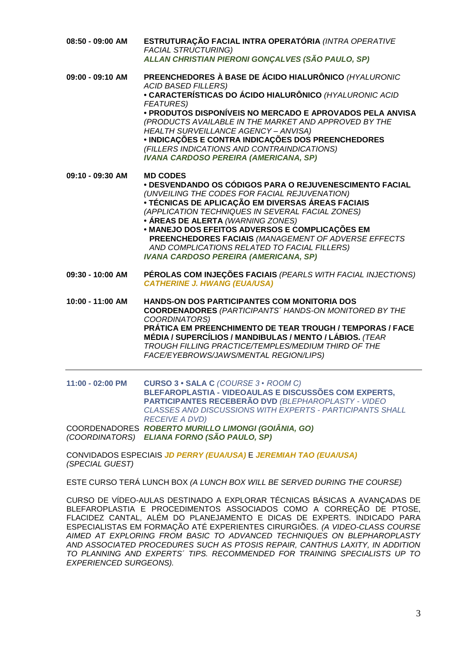| 08:50 - 09:00 AM | ESTRUTURAÇÃO FACIAL INTRA OPERATÓRIA (INTRA OPERATIVE<br><b>FACIAL STRUCTURING)</b><br>ALLAN CHRISTIAN PIERONI GONÇALVES (SÃO PAULO, SP)                                                                                                                                                                                                                                                                                                                                              |
|------------------|---------------------------------------------------------------------------------------------------------------------------------------------------------------------------------------------------------------------------------------------------------------------------------------------------------------------------------------------------------------------------------------------------------------------------------------------------------------------------------------|
| 09:00 - 09:10 AM | PREENCHEDORES À BASE DE ÁCIDO HIALURÔNICO (HYALURONIC<br><b>ACID BASED FILLERS)</b><br>• CARACTERÍSTICAS DO ÁCIDO HIALURÔNICO (HYALURONIC ACID<br><b>FEATURES)</b><br>· PRODUTOS DISPONÍVEIS NO MERCADO E APROVADOS PELA ANVISA<br>(PRODUCTS AVAILABLE IN THE MARKET AND APPROVED BY THE<br>HEALTH SURVEILLANCE AGENCY - ANVISA)<br>· INDICAÇÕES E CONTRA INDICAÇÕES DOS PREENCHEDORES<br>(FILLERS INDICATIONS AND CONTRAINDICATIONS)<br><b>IVANA CARDOSO PEREIRA (AMERICANA, SP)</b> |
| 09:10 - 09:30 AM | <b>MD CODES</b><br>· DESVENDANDO OS CÓDIGOS PARA O REJUVENESCIMENTO FACIAL<br>(UNVEILING THE CODES FOR FACIAL REJUVENATION)<br>• TÉCNICAS DE APLICAÇÃO EM DIVERSAS ÁREAS FACIAIS<br>(APPLICATION TECHNIQUES IN SEVERAL FACIAL ZONES)<br>• ÁREAS DE ALERTA (WARNING ZONES)<br>· MANEJO DOS EFEITOS ADVERSOS E COMPLICAÇÕES EM<br>PREENCHEDORES FACIAIS (MANAGEMENT OF ADVERSE EFFECTS<br>AND COMPLICATIONS RELATED TO FACIAL FILLERS)<br><b>IVANA CARDOSO PEREIRA (AMERICANA, SP)</b>  |
| 09:30 - 10:00 AM | PÉROLAS COM INJEÇÕES FACIAIS (PEARLS WITH FACIAL INJECTIONS)<br><b>CATHERINE J. HWANG (EUA/USA)</b>                                                                                                                                                                                                                                                                                                                                                                                   |
| 10:00 - 11:00 AM | <b>HANDS-ON DOS PARTICIPANTES COM MONITORIA DOS</b><br><b>COORDENADORES (PARTICIPANTS' HANDS-ON MONITORED BY THE</b><br>COORDINATORS)<br>PRÁTICA EM PREENCHIMENTO DE TEAR TROUGH / TEMPORAS / FACE<br>MÉDIA / SUPERCÍLIOS / MANDIBULAS / MENTO / LÁBIOS. (TEAR<br>TROUGH FILLING PRACTICE/TEMPLES/MEDIUM THIRD OF THE<br>FACE/EYEBROWS/JAWS/MENTAL REGION/LIPS)                                                                                                                       |
| 11:00 - 02:00 PM | CURSO 3 · SALA C (COURSE 3 · ROOM C)<br>BLEFAROPLASTIA - VIDEOAULAS E DISCUSSÕES COM EXPERTS,<br>PARTICIPANTES RECEBERÃO DVD (BLEPHAROPLASTY - VIDEO<br>CLASSES AND DISCUSSIONS WITH EXPERTS - PARTICIPANTS SHALL<br><b>RECEIVE A DVD)</b><br>COORDENADORES ROBERTO MURILLO LIMONGI (GOIÂNIA, GO)<br>(COORDINATORS) ELIANA FORNO (SÃO PAULO, SP)                                                                                                                                      |

CONVIDADOS ESPECIAIS *JD PERRY (EUA/USA)* E *JEREMIAH TAO (EUA/USA) (SPECIAL GUEST)*

ESTE CURSO TERÁ LUNCH BOX *(A LUNCH BOX WILL BE SERVED DURING THE COURSE)*

CURSO DE VÍDEO-AULAS DESTINADO A EXPLORAR TÉCNICAS BÁSICAS A AVANÇADAS DE BLEFAROPLASTIA E PROCEDIMENTOS ASSOCIADOS COMO A CORREÇÃO DE PTOSE, FLACIDEZ CANTAL, ALÉM DO PLANEJAMENTO E DICAS DE EXPERTS. INDICADO PARA ESPECIALISTAS EM FORMAÇÃO ATÉ EXPERIENTES CIRURGIÕES. *(A VIDEO-CLASS COURSE AIMED AT EXPLORING FROM BASIC TO ADVANCED TECHNIQUES ON BLEPHAROPLASTY AND ASSOCIATED PROCEDURES SUCH AS PTOSIS REPAIR, CANTHUS LAXITY, IN ADDITION TO PLANNING AND EXPERTS´ TIPS. RECOMMENDED FOR TRAINING SPECIALISTS UP TO EXPERIENCED SURGEONS).*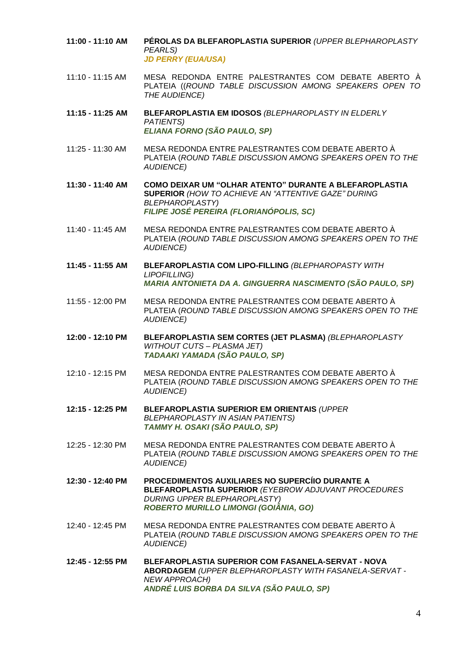- **11:00 - 11:10 AM PÉROLAS DA BLEFAROPLASTIA SUPERIOR** *(UPPER BLEPHAROPLASTY PEARLS) JD PERRY (EUA/USA)*
- 11:10 11:15 AM MESA REDONDA ENTRE PALESTRANTES COM DEBATE ABERTO À PLATEIA ((*ROUND TABLE DISCUSSION AMONG SPEAKERS OPEN TO THE AUDIENCE)*
- **11:15 - 11:25 AM BLEFAROPLASTIA EM IDOSOS** *(BLEPHAROPLASTY IN ELDERLY PATIENTS) ELIANA FORNO (SÃO PAULO, SP)*
- 11:25 11:30 AM MESA REDONDA ENTRE PALESTRANTES COM DEBATE ABERTO À PLATEIA (*ROUND TABLE DISCUSSION AMONG SPEAKERS OPEN TO THE AUDIENCE)*

**11:30 - 11:40 AM COMO DEIXAR UM "OLHAR ATENTO" DURANTE A BLEFAROPLASTIA SUPERIOR** *(HOW TO ACHIEVE AN "ATTENTIVE GAZE" DURING BLEPHAROPLASTY) FILIPE JOSÉ PEREIRA (FLORIANÓPOLIS, SC)*

- 11:40 11:45 AM MESA REDONDA ENTRE PALESTRANTES COM DEBATE ABERTO À PLATEIA (*ROUND TABLE DISCUSSION AMONG SPEAKERS OPEN TO THE AUDIENCE)*
- **11:45 - 11:55 AM BLEFAROPLASTIA COM LIPO-FILLING** *(BLEPHAROPASTY WITH LIPOFILLING) MARIA ANTONIETA DA A. GINGUERRA NASCIMENTO (SÃO PAULO, SP)*
- 11:55 12:00 PM MESA REDONDA ENTRE PALESTRANTES COM DEBATE ABERTO À PLATEIA (*ROUND TABLE DISCUSSION AMONG SPEAKERS OPEN TO THE AUDIENCE)*
- **12:00 - 12:10 PM BLEFAROPLASTIA SEM CORTES (JET PLASMA)** *(BLEPHAROPLASTY WITHOUT CUTS – PLASMA JET) TADAAKI YAMADA (SÃO PAULO, SP)*
- 12:10 12:15 PM MESA REDONDA ENTRE PALESTRANTES COM DEBATE ABERTO À PLATEIA (*ROUND TABLE DISCUSSION AMONG SPEAKERS OPEN TO THE AUDIENCE)*
- **12:15 - 12:25 PM BLEFAROPLASTIA SUPERIOR EM ORIENTAIS** *(UPPER BLEPHAROPLASTY IN ASIAN PATIENTS) TAMMY H. OSAKI (SÃO PAULO, SP)*
- 12:25 12:30 PM MESA REDONDA ENTRE PALESTRANTES COM DEBATE ABERTO À PLATEIA (*ROUND TABLE DISCUSSION AMONG SPEAKERS OPEN TO THE AUDIENCE)*
- **12:30 - 12:40 PM PROCEDIMENTOS AUXILIARES NO SUPERCÍIO DURANTE A BLEFAROPLASTIA SUPERIOR** *(EYEBROW ADJUVANT PROCEDURES DURING UPPER BLEPHAROPLASTY) ROBERTO MURILLO LIMONGI (GOIÂNIA, GO)*
- 12:40 12:45 PM MESA REDONDA ENTRE PALESTRANTES COM DEBATE ABERTO À PLATEIA (*ROUND TABLE DISCUSSION AMONG SPEAKERS OPEN TO THE AUDIENCE)*
- **12:45 - 12:55 PM BLEFAROPLASTIA SUPERIOR COM FASANELA-SERVAT - NOVA ABORDAGEM** *(UPPER BLEPHAROPLASTY WITH FASANELA-SERVAT - NEW APPROACH) ANDRÉ LUIS BORBA DA SILVA (SÃO PAULO, SP)*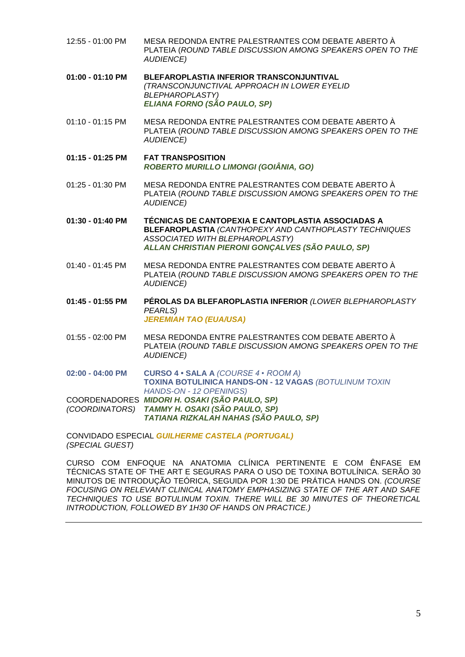12:55 - 01:00 PM MESA REDONDA ENTRE PALESTRANTES COM DEBATE ABERTO À PLATEIA (*ROUND TABLE DISCUSSION AMONG SPEAKERS OPEN TO THE AUDIENCE)* **01:00 - 01:10 PM BLEFAROPLASTIA INFERIOR TRANSCONJUNTIVAL** *(TRANSCONJUNCTIVAL APPROACH IN LOWER EYELID BLEPHAROPLASTY) ELIANA FORNO (SÃO PAULO, SP)* 01:10 - 01:15 PM MESA REDONDA ENTRE PALESTRANTES COM DEBATE ABERTO À PLATEIA (*ROUND TABLE DISCUSSION AMONG SPEAKERS OPEN TO THE AUDIENCE)* **01:15 - 01:25 PM FAT TRANSPOSITION** *ROBERTO MURILLO LIMONGI (GOIÂNIA, GO)* 01:25 - 01:30 PM MESA REDONDA ENTRE PALESTRANTES COM DEBATE ABERTO À PLATEIA (*ROUND TABLE DISCUSSION AMONG SPEAKERS OPEN TO THE AUDIENCE)* **01:30 - 01:40 PM TÉCNICAS DE CANTOPEXIA E CANTOPLASTIA ASSOCIADAS A BLEFAROPLASTIA** *(CANTHOPEXY AND CANTHOPLASTY TECHNIQUES ASSOCIATED WITH BLEPHAROPLASTY) ALLAN CHRISTIAN PIERONI GONÇALVES (SÃO PAULO, SP)* 01:40 - 01:45 PM MESA REDONDA ENTRE PALESTRANTES COM DEBATE ABERTO À PLATEIA (*ROUND TABLE DISCUSSION AMONG SPEAKERS OPEN TO THE AUDIENCE)* **01:45 - 01:55 PM PÉROLAS DA BLEFAROPLASTIA INFERIOR** *(LOWER BLEPHAROPLASTY PEARLS) JEREMIAH TAO (EUA/USA)* 01:55 - 02:00 PM MESA REDONDA ENTRE PALESTRANTES COM DEBATE ABERTO À PLATEIA (*ROUND TABLE DISCUSSION AMONG SPEAKERS OPEN TO THE AUDIENCE)* **02:00 - 04:00 PM CURSO 4 • SALA A** *(COURSE 4 • ROOM A)* **TOXINA BOTULINICA HANDS-ON - 12 VAGAS** *(BOTULINUM TOXIN HANDS-ON - 12 OPENINGS)* COORDENADORES *MIDORI H. OSAKI (SÃO PAULO, SP) (COORDINATORS) TAMMY H. OSAKI (SÃO PAULO, SP) TATIANA RIZKALAH NAHAS (SÃO PAULO, SP)* CONVIDADO ESPECIAL *GUILHERME CASTELA (PORTUGAL) (SPECIAL GUEST)*

CURSO COM ENFOQUE NA ANATOMIA CLÍNICA PERTINENTE E COM ÊNFASE EM TÉCNICAS STATE OF THE ART E SEGURAS PARA O USO DE TOXINA BOTULÍNICA. SERÃO 30 MINUTOS DE INTRODUÇÃO TEÓRICA, SEGUIDA POR 1:30 DE PRÁTICA HANDS ON. *(COURSE FOCUSING ON RELEVANT CLINICAL ANATOMY EMPHASIZING STATE OF THE ART AND SAFE TECHNIQUES TO USE BOTULINUM TOXIN. THERE WILL BE 30 MINUTES OF THEORETICAL INTRODUCTION, FOLLOWED BY 1H30 OF HANDS ON PRACTICE.)*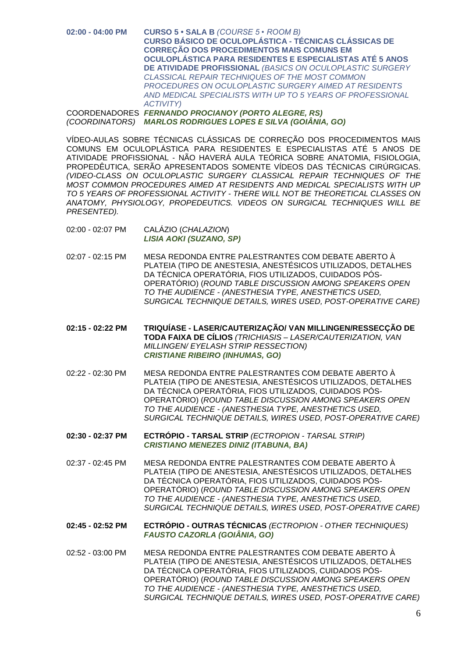**02:00 - 04:00 PM CURSO 5 • SALA B** *(COURSE 5 • ROOM B)* **CURSO BÁSICO DE OCULOPLÁSTICA - TÉCNICAS CLÁSSICAS DE CORREÇÃO DOS PROCEDIMENTOS MAIS COMUNS EM OCULOPLÁSTICA PARA RESIDENTES E ESPECIALISTAS ATÉ 5 ANOS DE ATIVIDADE PROFISSIONAL** *(BASICS ON OCULOPLASTIC SURGERY CLASSICAL REPAIR TECHNIQUES OF THE MOST COMMON PROCEDURES ON OCULOPLASTIC SURGERY AIMED AT RESIDENTS AND MEDICAL SPECIALISTS WITH UP TO 5 YEARS OF PROFESSIONAL ACTIVITY)*

COORDENADORES *FERNANDO PROCIANOY (PORTO ALEGRE, RS) (COORDINATORS) MARLOS RODRIGUES LOPES E SILVA (GOIÂNIA, GO)*

VÍDEO-AULAS SOBRE TÉCNICAS CLÁSSICAS DE CORREÇÃO DOS PROCEDIMENTOS MAIS COMUNS EM OCULOPLÁSTICA PARA RESIDENTES E ESPECIALISTAS ATÉ 5 ANOS DE ATIVIDADE PROFISSIONAL - NÃO HAVERÁ AULA TEÓRICA SOBRE ANATOMIA, FISIOLOGIA, PROPEDÊUTICA, SERÃO APRESENTADOS SOMENTE VÍDEOS DAS TÉCNICAS CIRÚRGICAS. *(VIDEO-CLASS ON OCULOPLASTIC SURGERY CLASSICAL REPAIR TECHNIQUES OF THE MOST COMMON PROCEDURES AIMED AT RESIDENTS AND MEDICAL SPECIALISTS WITH UP TO 5 YEARS OF PROFESSIONAL ACTIVITY - THERE WILL NOT BE THEORETICAL CLASSES ON ANATOMY, PHYSIOLOGY, PROPEDEUTICS. VIDEOS ON SURGICAL TECHNIQUES WILL BE PRESENTED).*

- 02:00 02:07 PM CALÁZIO (*CHALAZION*) *LISIA AOKI (SUZANO, SP)*
- 02:07 02:15 PM MESA REDONDA ENTRE PALESTRANTES COM DEBATE ABERTO À PLATEIA (TIPO DE ANESTESIA, ANESTÉSICOS UTILIZADOS, DETALHES DA TÉCNICA OPERATÓRIA, FIOS UTILIZADOS, CUIDADOS PÓS-OPERATÓRIO) (*ROUND TABLE DISCUSSION AMONG SPEAKERS OPEN TO THE AUDIENCE - (ANESTHESIA TYPE, ANESTHETICS USED, SURGICAL TECHNIQUE DETAILS, WIRES USED, POST-OPERATIVE CARE)*
- **02:15 - 02:22 PM TRIQUÍASE - LASER/CAUTERIZAÇÃO/ VAN MILLINGEN/RESSECÇÃO DE TODA FAIXA DE CÍLIOS** *(TRICHIASIS – LASER/CAUTERIZATION, VAN MILLINGEN/ EYELASH STRIP RESSECTION) CRISTIANE RIBEIRO (INHUMAS, GO)*
- 02:22 02:30 PM MESA REDONDA ENTRE PALESTRANTES COM DEBATE ABERTO À PLATEIA (TIPO DE ANESTESIA, ANESTÉSICOS UTILIZADOS, DETALHES DA TÉCNICA OPERATÓRIA, FIOS UTILIZADOS, CUIDADOS PÓS-OPERATÓRIO) (*ROUND TABLE DISCUSSION AMONG SPEAKERS OPEN TO THE AUDIENCE - (ANESTHESIA TYPE, ANESTHETICS USED, SURGICAL TECHNIQUE DETAILS, WIRES USED, POST-OPERATIVE CARE)*
- **02:30 - 02:37 PM ECTRÓPIO - TARSAL STRIP** *(ECTROPION - TARSAL STRIP) CRISTIANO MENEZES DINIZ (ITABUNA, BA)*
- 02:37 02:45 PM MESA REDONDA ENTRE PALESTRANTES COM DEBATE ABERTO À PLATEIA (TIPO DE ANESTESIA, ANESTÉSICOS UTILIZADOS, DETALHES DA TÉCNICA OPERATÓRIA, FIOS UTILIZADOS, CUIDADOS PÓS-OPERATÓRIO) (*ROUND TABLE DISCUSSION AMONG SPEAKERS OPEN TO THE AUDIENCE - (ANESTHESIA TYPE, ANESTHETICS USED, SURGICAL TECHNIQUE DETAILS, WIRES USED, POST-OPERATIVE CARE)*

**02:45 - 02:52 PM ECTRÓPIO - OUTRAS TÉCNICAS** *(ECTROPION - OTHER TECHNIQUES) FAUSTO CAZORLA (GOIÂNIA, GO)*

02:52 - 03:00 PM MESA REDONDA ENTRE PALESTRANTES COM DEBATE ABERTO À PLATEIA (TIPO DE ANESTESIA, ANESTÉSICOS UTILIZADOS, DETALHES DA TÉCNICA OPERATÓRIA, FIOS UTILIZADOS, CUIDADOS PÓS-OPERATÓRIO) (*ROUND TABLE DISCUSSION AMONG SPEAKERS OPEN TO THE AUDIENCE - (ANESTHESIA TYPE, ANESTHETICS USED, SURGICAL TECHNIQUE DETAILS, WIRES USED, POST-OPERATIVE CARE)*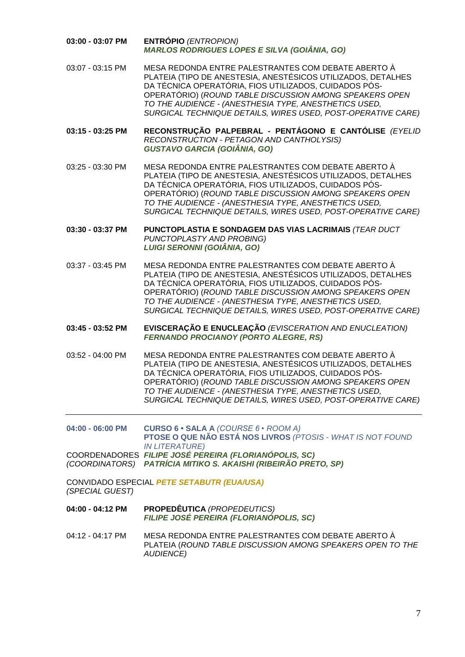- **03:00 - 03:07 PM ENTRÓPIO** *(ENTROPION) MARLOS RODRIGUES LOPES E SILVA (GOIÂNIA, GO)*
- 03:07 03:15 PM MESA REDONDA ENTRE PALESTRANTES COM DEBATE ABERTO À PLATEIA (TIPO DE ANESTESIA, ANESTÉSICOS UTILIZADOS, DETALHES DA TÉCNICA OPERATÓRIA, FIOS UTILIZADOS, CUIDADOS PÓS-OPERATÓRIO) (*ROUND TABLE DISCUSSION AMONG SPEAKERS OPEN TO THE AUDIENCE - (ANESTHESIA TYPE, ANESTHETICS USED, SURGICAL TECHNIQUE DETAILS, WIRES USED, POST-OPERATIVE CARE)*
- **03:15 - 03:25 PM RECONSTRUÇÃO PALPEBRAL - PENTÁGONO E CANTÓLISE** *(EYELID RECONSTRUCTION - PETAGON AND CANTHOLYSIS) GUSTAVO GARCIA (GOIÂNIA, GO)*

03:25 - 03:30 PM MESA REDONDA ENTRE PALESTRANTES COM DEBATE ABERTO À PLATEIA (TIPO DE ANESTESIA, ANESTÉSICOS UTILIZADOS, DETALHES DA TÉCNICA OPERATÓRIA, FIOS UTILIZADOS, CUIDADOS PÓS-OPERATÓRIO) (*ROUND TABLE DISCUSSION AMONG SPEAKERS OPEN TO THE AUDIENCE - (ANESTHESIA TYPE, ANESTHETICS USED, SURGICAL TECHNIQUE DETAILS, WIRES USED, POST-OPERATIVE CARE)*

**03:30 - 03:37 PM PUNCTOPLASTIA E SONDAGEM DAS VIAS LACRIMAIS** *(TEAR DUCT PUNCTOPLASTY AND PROBING) LUIGI SERONNI (GOIÂNIA, GO)*

- 03:37 03:45 PM MESA REDONDA ENTRE PALESTRANTES COM DEBATE ABERTO À PLATEIA (TIPO DE ANESTESIA, ANESTÉSICOS UTILIZADOS, DETALHES DA TÉCNICA OPERATÓRIA, FIOS UTILIZADOS, CUIDADOS PÓS-OPERATÓRIO) (*ROUND TABLE DISCUSSION AMONG SPEAKERS OPEN TO THE AUDIENCE - (ANESTHESIA TYPE, ANESTHETICS USED, SURGICAL TECHNIQUE DETAILS, WIRES USED, POST-OPERATIVE CARE)*
- **03:45 - 03:52 PM EVISCERAÇÃO E ENUCLEAÇÃO** *(EVISCERATION AND ENUCLEATION) FERNANDO PROCIANOY (PORTO ALEGRE, RS)*
- 03:52 04:00 PM MESA REDONDA ENTRE PALESTRANTES COM DEBATE ABERTO À PLATEIA (TIPO DE ANESTESIA, ANESTÉSICOS UTILIZADOS, DETALHES DA TÉCNICA OPERATÓRIA, FIOS UTILIZADOS, CUIDADOS PÓS-OPERATÓRIO) (*ROUND TABLE DISCUSSION AMONG SPEAKERS OPEN TO THE AUDIENCE - (ANESTHESIA TYPE, ANESTHETICS USED, SURGICAL TECHNIQUE DETAILS, WIRES USED, POST-OPERATIVE CARE)*

**04:00 - 06:00 PM CURSO 6 • SALA A** *(COURSE 6 • ROOM A)* **PTOSE O QUE NÃO ESTÁ NOS LIVROS** *(PTOSIS - WHAT IS NOT FOUND IN LITERATURE)* COORDENADORES *FILIPE JOSÉ PEREIRA (FLORIANÓPOLIS, SC)*

*(COORDINATORS) PATRÍCIA MITIKO S. AKAISHI (RIBEIRÃO PRETO, SP)*

CONVIDADO ESPECIAL *PETE SETABUTR (EUA/USA) (SPECIAL GUEST)*

- **04:00 - 04:12 PM PROPEDÊUTICA** *(PROPEDEUTICS) FILIPE JOSÉ PEREIRA (FLORIANÓPOLIS, SC)*
- 04:12 04:17 PM MESA REDONDA ENTRE PALESTRANTES COM DEBATE ABERTO À PLATEIA (*ROUND TABLE DISCUSSION AMONG SPEAKERS OPEN TO THE AUDIENCE)*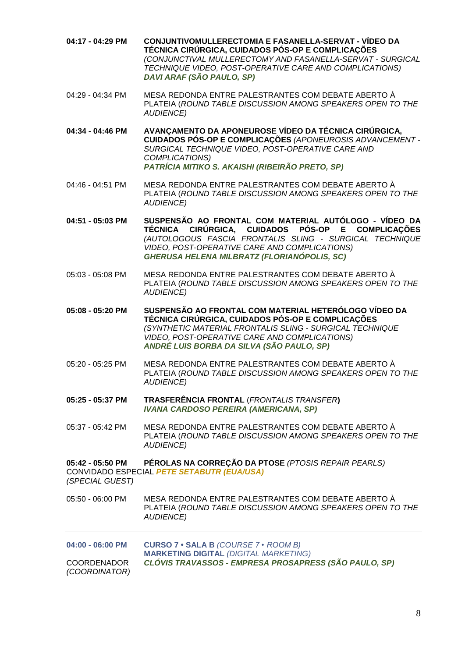**04:17 - 04:29 PM CONJUNTIVOMULLERECTOMIA E FASANELLA-SERVAT - VÍDEO DA TÉCNICA CIRÚRGICA, CUIDADOS PÓS-OP E COMPLICAÇÕES** *(CONJUNCTIVAL MULLERECTOMY AND FASANELLA-SERVAT - SURGICAL TECHNIQUE VIDEO, POST-OPERATIVE CARE AND COMPLICATIONS) DAVI ARAF (SÃO PAULO, SP)* 04:29 - 04:34 PM MESA REDONDA ENTRE PALESTRANTES COM DEBATE ABERTO À PLATEIA (*ROUND TABLE DISCUSSION AMONG SPEAKERS OPEN TO THE AUDIENCE)* **04:34 - 04:46 PM AVANÇAMENTO DA APONEUROSE VÍDEO DA TÉCNICA CIRÚRGICA, CUIDADOS PÓS-OP E COMPLICAÇÕES** *(APONEUROSIS ADVANCEMENT - SURGICAL TECHNIQUE VIDEO, POST-OPERATIVE CARE AND COMPLICATIONS) PATRÍCIA MITIKO S. AKAISHI (RIBEIRÃO PRETO, SP)* 04:46 - 04:51 PM MESA REDONDA ENTRE PALESTRANTES COM DEBATE ABERTO À PLATEIA (*ROUND TABLE DISCUSSION AMONG SPEAKERS OPEN TO THE AUDIENCE)* **04:51 - 05:03 PM SUSPENSÃO AO FRONTAL COM MATERIAL AUTÓLOGO - VÍDEO DA TÉCNICA CIRÚRGICA, CUIDADOS PÓS-OP E COMPLICAÇÕES** *(AUTOLOGOUS FASCIA FRONTALIS SLING - SURGICAL TECHNIQUE VIDEO, POST-OPERATIVE CARE AND COMPLICATIONS) GHERUSA HELENA MILBRATZ (FLORIANÓPOLIS, SC)* 05:03 - 05:08 PM MESA REDONDA ENTRE PALESTRANTES COM DEBATE ABERTO À PLATEIA (*ROUND TABLE DISCUSSION AMONG SPEAKERS OPEN TO THE AUDIENCE)* **05:08 - 05:20 PM SUSPENSÃO AO FRONTAL COM MATERIAL HETERÓLOGO VÍDEO DA TÉCNICA CIRÚRGICA, CUIDADOS PÓS-OP E COMPLICAÇÕES** *(SYNTHETIC MATERIAL FRONTALIS SLING - SURGICAL TECHNIQUE VIDEO, POST-OPERATIVE CARE AND COMPLICATIONS) ANDRÉ LUIS BORBA DA SILVA (SÃO PAULO, SP)* 05:20 - 05:25 PM MESA REDONDA ENTRE PALESTRANTES COM DEBATE ABERTO À PLATEIA (*ROUND TABLE DISCUSSION AMONG SPEAKERS OPEN TO THE AUDIENCE)* **05:25 - 05:37 PM TRASFERÊNCIA FRONTAL** (*FRONTALIS TRANSFER***)** *IVANA CARDOSO PEREIRA (AMERICANA, SP)* 05:37 - 05:42 PM MESA REDONDA ENTRE PALESTRANTES COM DEBATE ABERTO À PLATEIA (*ROUND TABLE DISCUSSION AMONG SPEAKERS OPEN TO THE AUDIENCE)* **05:42 - 05:50 PM PÉROLAS NA CORREÇÃO DA PTOSE** *(PTOSIS REPAIR PEARLS)* CONVIDADO ESPECIAL *PETE SETABUTR (EUA/USA) (SPECIAL GUEST)* 05:50 - 06:00 PM MESA REDONDA ENTRE PALESTRANTES COM DEBATE ABERTO À PLATEIA (*ROUND TABLE DISCUSSION AMONG SPEAKERS OPEN TO THE AUDIENCE)* **04:00 - 06:00 PM CURSO 7 • SALA B** *(COURSE 7 • ROOM B)* **MARKETING DIGITAL** *(DIGITAL MARKETING)* COORDENADOR *CLÓVIS TRAVASSOS - EMPRESA PROSAPRESS (SÃO PAULO, SP)*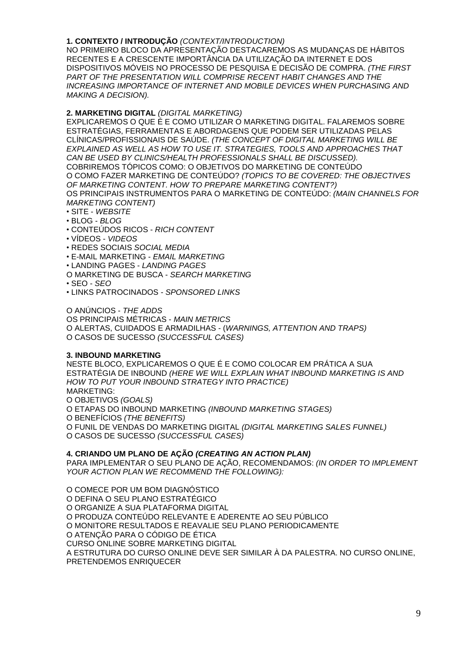#### **1. CONTEXTO / INTRODUÇÃO** *(CONTEXT/INTRODUCTION)*

NO PRIMEIRO BLOCO DA APRESENTAÇÃO DESTACAREMOS AS MUDANÇAS DE HÁBITOS RECENTES E A CRESCENTE IMPORTÂNCIA DA UTILIZAÇÃO DA INTERNET E DOS DISPOSITIVOS MÓVEIS NO PROCESSO DE PESQUISA E DECISÃO DE COMPRA. *(THE FIRST PART OF THE PRESENTATION WILL COMPRISE RECENT HABIT CHANGES AND THE*  **INCREASING IMPORTANCE OF INTERNET AND MOBILE DEVICES WHEN PURCHASING AND** *MAKING A DECISION).*

### **2. MARKETING DIGITAL** *(DIGITAL MARKETING)*

EXPLICAREMOS O QUE É E COMO UTILIZAR O MARKETING DIGITAL. FALAREMOS SOBRE ESTRATÉGIAS, FERRAMENTAS E ABORDAGENS QUE PODEM SER UTILIZADAS PELAS CLÍNICAS/PROFISSIONAIS DE SAÚDE. *(THE CONCEPT OF DIGITAL MARKETING WILL BE EXPLAINED AS WELL AS HOW TO USE IT. STRATEGIES, TOOLS AND APPROACHES THAT CAN BE USED BY CLINICS/HEALTH PROFESSIONALS SHALL BE DISCUSSED).* COBRIREMOS TÓPICOS COMO: O OBJETIVOS DO MARKETING DE CONTEÚDO O COMO FAZER MARKETING DE CONTEÚDO? *(TOPICS TO BE COVERED: THE OBJECTIVES OF MARKETING CONTENT. HOW TO PREPARE MARKETING CONTENT?)* OS PRINCIPAIS INSTRUMENTOS PARA O MARKETING DE CONTEÚDO: *(MAIN CHANNELS FOR MARKETING CONTENT)*

- SITE *WEBSITE*
- BLOG *BLOG*
- CONTEÚDOS RICOS *RICH CONTENT*
- VÍDEOS *VIDEOS*
- REDES SOCIAIS *SOCIAL MEDIA*
- E-MAIL MARKETING *EMAIL MARKETING*
- LANDING PAGES *LANDING PAGES*
- O MARKETING DE BUSCA *SEARCH MARKETING*

• SEO - *SEO*

• LINKS PATROCINADOS - *SPONSORED LINKS*

O ANÚNCIOS - *THE ADDS*

OS PRINCIPAIS MÉTRICAS - *MAIN METRICS* O ALERTAS, CUIDADOS E ARMADILHAS - (*WARNINGS, ATTENTION AND TRAPS)* O CASOS DE SUCESSO *(SUCCESSFUL CASES)*

#### **3. INBOUND MARKETING**

NESTE BLOCO, EXPLICAREMOS O QUE É E COMO COLOCAR EM PRÁTICA A SUA ESTRATÉGIA DE INBOUND *(HERE WE WILL EXPLAIN WHAT INBOUND MARKETING IS AND HOW TO PUT YOUR INBOUND STRATEGY INTO PRACTICE)* MARKETING: O OBJETIVOS *(GOALS)* O ETAPAS DO INBOUND MARKETING *(INBOUND MARKETING STAGES)* O BENEFÍCIOS *(THE BENEFITS)* O FUNIL DE VENDAS DO MARKETING DIGITAL *(DIGITAL MARKETING SALES FUNNEL)* O CASOS DE SUCESSO *(SUCCESSFUL CASES)*

### **4. CRIANDO UM PLANO DE AÇÃO** *(CREATING AN ACTION PLAN)*

PARA IMPLEMENTAR O SEU PLANO DE AÇÃO, RECOMENDAMOS: *(IN ORDER TO IMPLEMENT YOUR ACTION PLAN WE RECOMMEND THE FOLLOWING):*

O COMECE POR UM BOM DIAGNÓSTICO O DEFINA O SEU PLANO ESTRATÉGICO O ORGANIZE A SUA PLATAFORMA DIGITAL O PRODUZA CONTEÚDO RELEVANTE E ADERENTE AO SEU PÚBLICO O MONITORE RESULTADOS E REAVALIE SEU PLANO PERIODICAMENTE O ATENÇÃO PARA O CÓDIGO DE ÉTICA CURSO ONLINE SOBRE MARKETING DIGITAL A ESTRUTURA DO CURSO ONLINE DEVE SER SIMILAR À DA PALESTRA. NO CURSO ONLINE, PRETENDEMOS ENRIQUECER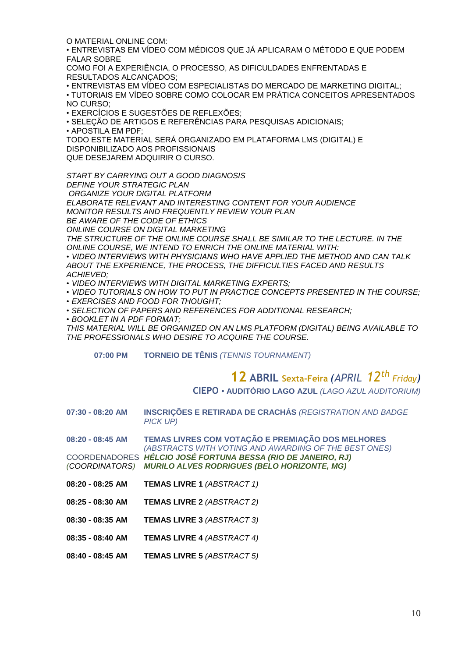O MATERIAL ONLINE COM:

• ENTREVISTAS EM VÍDEO COM MÉDICOS QUE JÁ APLICARAM O MÉTODO E QUE PODEM FALAR SOBRE

COMO FOI A EXPERIÊNCIA, O PROCESSO, AS DIFICULDADES ENFRENTADAS E RESULTADOS ALCANÇADOS;

• ENTREVISTAS EM VÍDEO COM ESPECIALISTAS DO MERCADO DE MARKETING DIGITAL;

• TUTORIAIS EM VÍDEO SOBRE COMO COLOCAR EM PRÁTICA CONCEITOS APRESENTADOS NO CURSO;

• EXERCÍCIOS E SUGESTÕES DE REFLEXÕES;

• SELEÇÃO DE ARTIGOS E REFERÊNCIAS PARA PESQUISAS ADICIONAIS;

• APOSTILA EM PDF;

TODO ESTE MATERIAL SERÁ ORGANIZADO EM PLATAFORMA LMS (DIGITAL) E DISPONIBILIZADO AOS PROFISSIONAIS QUE DESEJAREM ADQUIRIR O CURSO.

*START BY CARRYING OUT A GOOD DIAGNOSIS*

*DEFINE YOUR STRATEGIC PLAN*

*ORGANIZE YOUR DIGITAL PLATFORM*

*ELABORATE RELEVANT AND INTERESTING CONTENT FOR YOUR AUDIENCE*

*MONITOR RESULTS AND FREQUENTLY REVIEW YOUR PLAN* 

*BE AWARE OF THE CODE OF ETHICS*

*ONLINE COURSE ON DIGITAL MARKETING*

*THE STRUCTURE OF THE ONLINE COURSE SHALL BE SIMILAR TO THE LECTURE. IN THE ONLINE COURSE, WE INTEND TO ENRICH THE ONLINE MATERIAL WITH:*

*• VIDEO INTERVIEWS WITH PHYSICIANS WHO HAVE APPLIED THE METHOD AND CAN TALK ABOUT THE EXPERIENCE, THE PROCESS, THE DIFFICULTIES FACED AND RESULTS ACHIEVED;*

*• VIDEO INTERVIEWS WITH DIGITAL MARKETING EXPERTS;*

*• VIDEO TUTORIALS ON HOW TO PUT IN PRACTICE CONCEPTS PRESENTED IN THE COURSE;*

*• EXERCISES AND FOOD FOR THOUGHT;*

*• SELECTION OF PAPERS AND REFERENCES FOR ADDITIONAL RESEARCH;*

*• BOOKLET IN A PDF FORMAT;*

*THIS MATERIAL WILL BE ORGANIZED ON AN LMS PLATFORM (DIGITAL) BEING AVAILABLE TO THE PROFESSIONALS WHO DESIRE TO ACQUIRE THE COURSE.*

**07:00 PM TORNEIO DE TÊNIS** *(TENNIS TOURNAMENT)*

## **12 ABRIL Sexta-Feira** *(APRIL 12 th Friday)* **CIEPO • AUDITÓRIO LAGO AZUL** *(LAGO AZUL AUDITORIUM)*

**07:30 - 08:20 AM INSCRIÇÕES E RETIRADA DE CRACHÁS** *(REGISTRATION AND BADGE PICK UP)*

**08:20 - 08:45 AM TEMAS LIVRES COM VOTAÇÃO E PREMIAÇÃO DOS MELHORES** *(ABSTRACTS WITH VOTING AND AWARDING OF THE BEST ONES)* COORDENADORES *HÉLCIO JOSÉ FORTUNA BESSA (RIO DE JANEIRO, RJ) (COORDINATORS) MURILO ALVES RODRIGUES (BELO HORIZONTE, MG)*

- **08:20 - 08:25 AM TEMAS LIVRE 1** *(ABSTRACT 1)*
- **08:25 - 08:30 AM TEMAS LIVRE 2** *(ABSTRACT 2)*
- **08:30 - 08:35 AM TEMAS LIVRE 3** *(ABSTRACT 3)*
- **08:35 - 08:40 AM TEMAS LIVRE 4** *(ABSTRACT 4)*
- **08:40 - 08:45 AM TEMAS LIVRE 5** *(ABSTRACT 5)*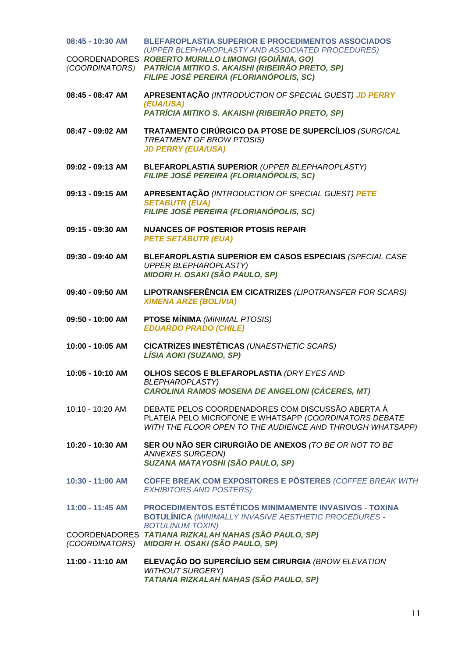| 08:45 - 10:30 AM | <b>BLEFAROPLASTIA SUPERIOR E PROCEDIMENTOS ASSOCIADOS</b><br>(UPPER BLEPHAROPLASTY AND ASSOCIATED PROCEDURES)                                                            |
|------------------|--------------------------------------------------------------------------------------------------------------------------------------------------------------------------|
|                  | COORDENADORES ROBERTO MURILLO LIMONGI (GOIÂNIA, GO)<br>(COORDINATORS) PATRÍCIA MITIKO S. AKAISHI (RIBEIRÃO PRETO, SP)<br>FILIPE JOSÉ PEREIRA (FLORIANÓPOLIS, SC)         |
| 08:45 - 08:47 AM | APRESENTAÇÃO (INTRODUCTION OF SPECIAL GUEST) JD PERRY<br>(EUA/USA)                                                                                                       |
|                  | PATRÍCIA MITIKO S. AKAISHI (RIBEIRÃO PRETO, SP)                                                                                                                          |
| 08:47 - 09:02 AM | TRATAMENTO CIRÚRGICO DA PTOSE DE SUPERCÍLIOS (SURGICAL<br><b>TREATMENT OF BROW PTOSIS)</b><br><b>JD PERRY (EUA/USA)</b>                                                  |
| 09:02 - 09:13 AM | BLEFAROPLASTIA SUPERIOR (UPPER BLEPHAROPLASTY)<br>FILIPE JOSÉ PEREIRA (FLORIANÓPOLIS, SC)                                                                                |
| 09:13 - 09:15 AM | APRESENTAÇÃO (INTRODUCTION OF SPECIAL GUEST) PETE<br><b>SETABUTR (EUA)</b><br>FILIPE JOSÉ PEREIRA (FLORIANÓPOLIS, SC)                                                    |
|                  |                                                                                                                                                                          |
| 09:15 - 09:30 AM | <b>NUANCES OF POSTERIOR PTOSIS REPAIR</b><br><b>PETE SETABUTR (EUA)</b>                                                                                                  |
| 09:30 - 09:40 AM | BLEFAROPLASTIA SUPERIOR EM CASOS ESPECIAIS (SPECIAL CASE<br><b>UPPER BLEPHAROPLASTY)</b><br><b>MIDORI H. OSAKI (SÃO PAULO, SP)</b>                                       |
| 09:40 - 09:50 AM | LIPOTRANSFERÊNCIA EM CICATRIZES (LIPOTRANSFER FOR SCARS)<br><b>XIMENA ARZE (BOLÍVIA)</b>                                                                                 |
| 09:50 - 10:00 AM | <b>PTOSE MÍNIMA (MINIMAL PTOSIS)</b><br><b>EDUARDO PRADO (CHILE)</b>                                                                                                     |
| 10:00 - 10:05 AM | <b>CICATRIZES INESTÉTICAS (UNAESTHETIC SCARS)</b><br>LÍSIA AOKI (SUZANO, SP)                                                                                             |
| 10:05 - 10:10 AM | OLHOS SECOS E BLEFAROPLASTIA (DRY EYES AND<br><b>BLEPHAROPLASTY)</b><br>CAROLINA RAMOS MOSENA DE ANGELONI (CÁCERES, MT)                                                  |
| 10:10 - 10:20 AM | DEBATE PELOS COORDENADORES COM DISCUSSÃO ABERTA À<br>PLATEIA PELO MICROFONE E WHATSAPP (COORDINATORS DEBATE<br>WITH THE FLOOR OPEN TO THE AUDIENCE AND THROUGH WHATSAPP) |
| 10:20 - 10:30 AM | SER OU NÃO SER CIRURGIÃO DE ANEXOS (TO BE OR NOT TO BE<br>ANNEXES SURGEON)<br>SUZANA MATAYOSHI (SÃO PAULO, SP)                                                           |
| 10:30 - 11:00 AM | <b>COFFE BREAK COM EXPOSITORES E PÔSTERES (COFFEE BREAK WITH</b><br><b>EXHIBITORS AND POSTERS)</b>                                                                       |
| 11:00 - 11:45 AM | PROCEDIMENTOS ESTÉTICOS MINIMAMENTE INVASIVOS - TOXINA<br><b>BOTULÍNICA (MINIMALLY INVASIVE AESTHETIC PROCEDURES -</b>                                                   |
|                  | <b>BOTULINUM TOXIN)</b><br>COORDENADORES TATIANA RIZKALAH NAHAS (SÃO PAULO, SP)<br>(COORDINATORS) MIDORI H. OSAKI (SÃO PAULO, SP)                                        |
| 11:00 - 11:10 AM | ELEVAÇÃO DO SUPERCÍLIO SEM CIRURGIA (BROW ELEVATION<br><b>WITHOUT SURGERY)</b><br>TATIANA RIZKALAH NAHAS (SÃO PAULO, SP)                                                 |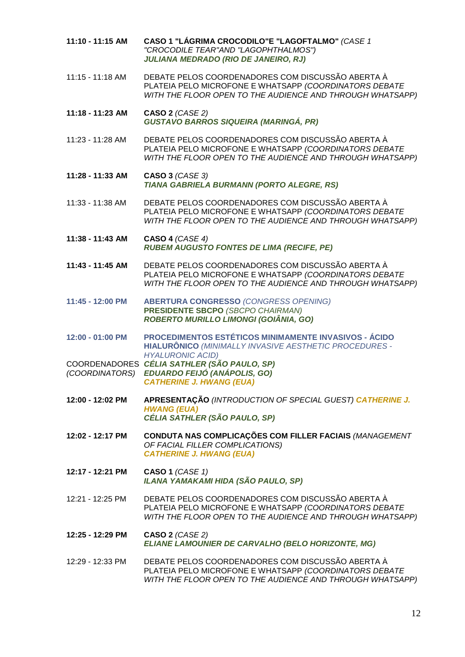| 11:10 - 11:15 AM | CASO 1 "LÁGRIMA CROCODILO"E "LAGOFTALMO" (CASE 1<br>"CROCODILE TEAR"AND "LAGOPHTHALMOS")<br><b>JULIANA MEDRADO (RIO DE JANEIRO, RJ)</b>                                  |
|------------------|--------------------------------------------------------------------------------------------------------------------------------------------------------------------------|
| 11:15 - 11:18 AM | DEBATE PELOS COORDENADORES COM DISCUSSÃO ABERTA À<br>PLATEIA PELO MICROFONE E WHATSAPP (COORDINATORS DEBATE<br>WITH THE FLOOR OPEN TO THE AUDIENCE AND THROUGH WHATSAPP) |
| 11:18 - 11:23 AM | CASO 2 (CASE 2)<br><b>GUSTAVO BARROS SIQUEIRA (MARINGÁ, PR)</b>                                                                                                          |
| 11:23 - 11:28 AM | DEBATE PELOS COORDENADORES COM DISCUSSÃO ABERTA À<br>PLATEIA PELO MICROFONE E WHATSAPP (COORDINATORS DEBATE<br>WITH THE FLOOR OPEN TO THE AUDIENCE AND THROUGH WHATSAPP) |
| 11:28 - 11:33 AM | CASO 3 (CASE 3)<br>TIANA GABRIELA BURMANN (PORTO ALEGRE, RS)                                                                                                             |
| 11:33 - 11:38 AM | DEBATE PELOS COORDENADORES COM DISCUSSÃO ABERTA À<br>PLATEIA PELO MICROFONE E WHATSAPP (COORDINATORS DEBATE<br>WITH THE FLOOR OPEN TO THE AUDIENCE AND THROUGH WHATSAPP) |
| 11:38 - 11:43 AM | <b>CASO 4 (CASE 4)</b><br><b>RUBEM AUGUSTO FONTES DE LIMA (RECIFE, PE)</b>                                                                                               |
| 11:43 - 11:45 AM | DEBATE PELOS COORDENADORES COM DISCUSSÃO ABERTA À<br>PLATEIA PELO MICROFONE E WHATSAPP (COORDINATORS DEBATE<br>WITH THE FLOOR OPEN TO THE AUDIENCE AND THROUGH WHATSAPP) |
| 11:45 - 12:00 PM | <b>ABERTURA CONGRESSO (CONGRESS OPENING)</b><br><b>PRESIDENTE SBCPO (SBCPO CHAIRMAN)</b><br>ROBERTO MURILLO LIMONGI (GOIÂNIA, GO)                                        |
| 12:00 - 01:00 PM | <b>PROCEDIMENTOS ESTÉTICOS MINIMAMENTE INVASIVOS - ÁCIDO</b><br>HIALURÔNICO (MINIMALLY INVASIVE AESTHETIC PROCEDURES -<br><b>HYALURONIC ACID)</b>                        |
| (COORDINATORS)   | COORDENADORES CÉLIA SATHLER (SÃO PAULO, SP)<br>EDUARDO FEIJÓ (ANÁPOLIS, GO)<br><b>CATHERINE J. HWANG (EUA)</b>                                                           |
| 12:00 - 12:02 PM | APRESENTAÇÃO (INTRODUCTION OF SPECIAL GUEST) CATHERINE J.<br><b>HWANG (EUA)</b><br>CÉLIA SATHLER (SÃO PAULO, SP)                                                         |
| 12:02 - 12:17 PM | CONDUTA NAS COMPLICAÇÕES COM FILLER FACIAIS (MANAGEMENT<br>OF FACIAL FILLER COMPLICATIONS)<br><b>CATHERINE J. HWANG (EUA)</b>                                            |
| 12:17 - 12:21 PM | CASO 1 $(CASE 1)$<br>ILANA YAMAKAMI HIDA (SÃO PAULO, SP)                                                                                                                 |
| 12:21 - 12:25 PM | DEBATE PELOS COORDENADORES COM DISCUSSÃO ABERTA À<br>PLATEIA PELO MICROFONE E WHATSAPP (COORDINATORS DEBATE<br>WITH THE FLOOR OPEN TO THE AUDIENCE AND THROUGH WHATSAPP) |
| 12:25 - 12:29 PM | CASO 2 $(CASE 2)$<br>ELIANE LAMOUNIER DE CARVALHO (BELO HORIZONTE, MG)                                                                                                   |
| 12:29 - 12:33 PM | DEBATE PELOS COORDENADORES COM DISCUSSÃO ABERTA À<br>PLATEIA PELO MICROFONE E WHATSAPP (COORDINATORS DEBATE<br>WITH THE FLOOR OPEN TO THE AUDIENCE AND THROUGH WHATSAPP) |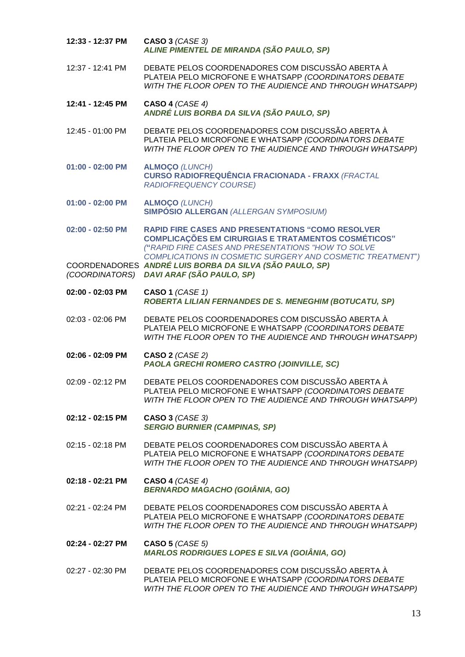| 12:33 - 12:37 PM   | CASO 3 (CASE 3)<br>ALINE PIMENTEL DE MIRANDA (SÃO PAULO, SP)                                                                                                                                                                               |
|--------------------|--------------------------------------------------------------------------------------------------------------------------------------------------------------------------------------------------------------------------------------------|
| 12:37 - 12:41 PM   | DEBATE PELOS COORDENADORES COM DISCUSSÃO ABERTA À<br>PLATEIA PELO MICROFONE E WHATSAPP (COORDINATORS DEBATE<br>WITH THE FLOOR OPEN TO THE AUDIENCE AND THROUGH WHATSAPP)                                                                   |
| 12:41 - 12:45 PM   | CASO 4 (CASE 4)<br>ANDRÉ LUIS BORBA DA SILVA (SÃO PAULO, SP)                                                                                                                                                                               |
| 12:45 - 01:00 PM   | DEBATE PELOS COORDENADORES COM DISCUSSÃO ABERTA À<br>PLATEIA PELO MICROFONE E WHATSAPP (COORDINATORS DEBATE<br>WITH THE FLOOR OPEN TO THE AUDIENCE AND THROUGH WHATSAPP)                                                                   |
| $01:00 - 02:00$ PM | <b>ALMOÇO (LUNCH)</b><br><b>CURSO RADIOFREQUÊNCIA FRACIONADA - FRAXX (FRACTAL</b><br><b>RADIOFREQUENCY COURSE)</b>                                                                                                                         |
| $01:00 - 02:00$ PM | <b>ALMOÇO (LUNCH)</b><br><b>SIMPÓSIO ALLERGAN (ALLERGAN SYMPOSIUM)</b>                                                                                                                                                                     |
| 02:00 - 02:50 PM   | <b>RAPID FIRE CASES AND PRESENTATIONS "COMO RESOLVER</b><br><b>COMPLICAÇÕES EM CIRURGIAS E TRATAMENTOS COSMÉTICOS"</b><br>("RAPID FIRE CASES AND PRESENTATIONS "HOW TO SOLVE<br>COMPLICATIONS IN COSMETIC SURGERY AND COSMETIC TREATMENT") |
| (COORDINATORS)     | COORDENADORES ANDRÉ LUIS BORBA DA SILVA (SÃO PAULO, SP)<br>DAVI ARAF (SÃO PAULO, SP)                                                                                                                                                       |
| 02:00 - 02:03 PM   | <b>CASO 1 (CASE 1)</b><br>ROBERTA LILIAN FERNANDES DE S. MENEGHIM (BOTUCATU, SP)                                                                                                                                                           |
| 02:03 - 02:06 PM   | DEBATE PELOS COORDENADORES COM DISCUSSÃO ABERTA À<br>PLATEIA PELO MICROFONE E WHATSAPP (COORDINATORS DEBATE<br>WITH THE FLOOR OPEN TO THE AUDIENCE AND THROUGH WHATSAPP)                                                                   |
| 02:06 - 02:09 PM   | CASO 2 (CASE 2)<br><b>PAOLA GRECHI ROMERO CASTRO (JOINVILLE, SC)</b>                                                                                                                                                                       |
| 02:09 - 02:12 PM   | DEBATE PELOS COORDENADORES COM DISCUSSÃO ABERTA À<br>PLATEIA PELO MICROFONE E WHATSAPP (COORDINATORS DEBATE<br>WITH THE FLOOR OPEN TO THE AUDIENCE AND THROUGH WHATSAPP)                                                                   |
| 02:12 - 02:15 PM   | <b>CASO 3 (CASE 3)</b><br><b>SERGIO BURNIER (CAMPINAS, SP)</b>                                                                                                                                                                             |
| 02:15 - 02:18 PM   | DEBATE PELOS COORDENADORES COM DISCUSSÃO ABERTA À<br>PLATEIA PELO MICROFONE E WHATSAPP (COORDINATORS DEBATE<br>WITH THE FLOOR OPEN TO THE AUDIENCE AND THROUGH WHATSAPP)                                                                   |
| 02:18 - 02:21 PM   | CASO 4 $(CASE 4)$<br><b>BERNARDO MAGACHO (GOIÂNIA, GO)</b>                                                                                                                                                                                 |
| $02:21 - 02:24$ PM | DEBATE PELOS COORDENADORES COM DISCUSSÃO ABERTA À<br>PLATEIA PELO MICROFONE E WHATSAPP (COORDINATORS DEBATE<br>WITH THE FLOOR OPEN TO THE AUDIENCE AND THROUGH WHATSAPP)                                                                   |
| 02:24 - 02:27 PM   | <b>CASO 5 (CASE 5)</b><br><b>MARLOS RODRIGUES LOPES E SILVA (GOIÂNIA, GO)</b>                                                                                                                                                              |
| 02:27 - 02:30 PM   | DEBATE PELOS COORDENADORES COM DISCUSSÃO ABERTA À<br>PLATEIA PELO MICROFONE E WHATSAPP (COORDINATORS DEBATE<br>WITH THE FLOOR OPEN TO THE AUDIENCE AND THROUGH WHATSAPP)                                                                   |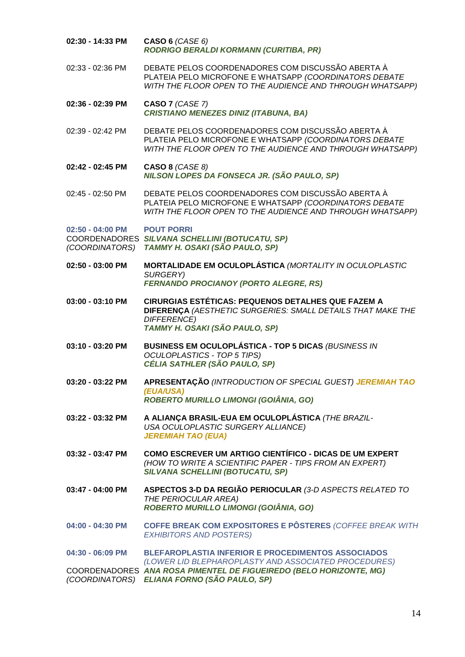| 02:30 - 14:33 PM                   | CASO 6 $(CASE 6)$<br><b>RODRIGO BERALDI KORMANN (CURITIBA, PR)</b>                                                                                                        |
|------------------------------------|---------------------------------------------------------------------------------------------------------------------------------------------------------------------------|
| 02:33 - 02:36 PM                   | DEBATE PELOS COORDENADORES COM DISCUSSÃO ABERTA À<br>PLATEIA PELO MICROFONE E WHATSAPP (COORDINATORS DEBATE<br>WITH THE FLOOR OPEN TO THE AUDIENCE AND THROUGH WHATSAPP)  |
| 02:36 - 02:39 PM                   | CASO 7 (CASE 7)<br><b>CRISTIANO MENEZES DINIZ (ITABUNA, BA)</b>                                                                                                           |
| 02:39 - 02:42 PM                   | DEBATE PELOS COORDENADORES COM DISCUSSÃO ABERTA À<br>PLATEIA PELO MICROFONE E WHATSAPP (COORDINATORS DEBATE<br>WITH THE FLOOR OPEN TO THE AUDIENCE AND THROUGH WHATSAPP)  |
| 02:42 - 02:45 PM                   | <b>CASO 8 (CASE 8)</b><br>NILSON LOPES DA FONSECA JR. (SÃO PAULO, SP)                                                                                                     |
| 02:45 - 02:50 PM                   | DEBATE PELOS COORDENADORES COM DISCUSSÃO ABERTA À<br>PLATEIA PELO MICROFONE E WHATSAPP (COORDINATORS DEBATE<br>WITH THE FLOOR OPEN TO THE AUDIENCE AND THROUGH WHATSAPP)  |
| 02:50 - 04:00 PM<br>(COORDINATORS) | <b>POUT PORRI</b><br>COORDENADORES SILVANA SCHELLINI (BOTUCATU, SP)<br>TAMMY H. OSAKI (SÃO PAULO, SP)                                                                     |
| 02:50 - 03:00 PM                   | MORTALIDADE EM OCULOPLÁSTICA (MORTALITY IN OCULOPLASTIC<br>SURGERY)<br><b>FERNANDO PROCIANOY (PORTO ALEGRE, RS)</b>                                                       |
| 03:00 - 03:10 PM                   | CIRURGIAS ESTÉTICAS: PEQUENOS DETALHES QUE FAZEM A<br>DIFERENÇA (AESTHETIC SURGERIES: SMALL DETAILS THAT MAKE THE<br><b>DIFFERENCE)</b><br>TAMMY H. OSAKI (SÃO PAULO, SP) |
| 03:10 - 03:20 PM                   | <b>BUSINESS EM OCULOPLÁSTICA - TOP 5 DICAS (BUSINESS IN</b><br><b>OCULOPLASTICS - TOP 5 TIPS)</b><br>CÉLIA SATHLER (SÃO PAULO, SP)                                        |
| 03:20 - 03:22 PM                   | APRESENTAÇÃO (INTRODUCTION OF SPECIAL GUEST) JEREMIAH TAO<br>(EUA/USA)<br>ROBERTO MURILLO LIMONGI (GOIÂNIA, GO)                                                           |
| 03:22 - 03:32 PM                   | A ALIANÇA BRASIL-EUA EM OCULOPLÁSTICA (THE BRAZIL-<br>USA OCULOPLASTIC SURGERY ALLIANCE)<br><b>JEREMIAH TAO (EUA)</b>                                                     |
| 03:32 - 03:47 PM                   | COMO ESCREVER UM ARTIGO CIENTÍFICO - DICAS DE UM EXPERT<br>(HOW TO WRITE A SCIENTIFIC PAPER - TIPS FROM AN EXPERT)<br><b>SILVANA SCHELLINI (BOTUCATU, SP)</b>             |
| 03:47 - 04:00 PM                   | ASPECTOS 3-D DA REGIÃO PERIOCULAR (3-D ASPECTS RELATED TO<br>THE PERIOCULAR AREA)<br>ROBERTO MURILLO LIMONGI (GOIÂNIA, GO)                                                |
| 04:00 - 04:30 PM                   | <b>COFFE BREAK COM EXPOSITORES E PÔSTERES (COFFEE BREAK WITH</b><br><b>EXHIBITORS AND POSTERS)</b>                                                                        |
| 04:30 - 06:09 PM                   | <b>BLEFAROPLASTIA INFERIOR E PROCEDIMENTOS ASSOCIADOS</b><br>(LOWER LID BLEPHAROPLASTY AND ASSOCIATED PROCEDURES)                                                         |
|                                    | COORDENADORES ANA ROSA PIMENTEL DE FIGUEIREDO (BELO HORIZONTE, MG)<br>(COORDINATORS) ELIANA FORNO (SÃO PAULO, SP)                                                         |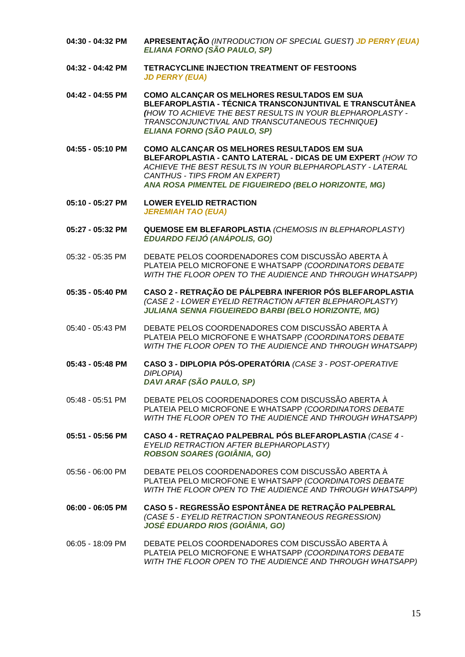- **04:30 - 04:32 PM APRESENTAÇÃO** *(INTRODUCTION OF SPECIAL GUEST) JD PERRY (EUA) ELIANA FORNO (SÃO PAULO, SP)*
- **04:32 - 04:42 PM TETRACYCLINE INJECTION TREATMENT OF FESTOONS** *JD PERRY (EUA)*
- **04:42 - 04:55 PM COMO ALCANÇAR OS MELHORES RESULTADOS EM SUA BLEFAROPLASTIA - TÉCNICA TRANSCONJUNTIVAL E TRANSCUTÂNEA**  *(HOW TO ACHIEVE THE BEST RESULTS IN YOUR BLEPHAROPLASTY - TRANSCONJUNCTIVAL AND TRANSCUTANEOUS TECHNIQUE) ELIANA FORNO (SÃO PAULO, SP)*
- **04:55 - 05:10 PM COMO ALCANÇAR OS MELHORES RESULTADOS EM SUA BLEFAROPLASTIA - CANTO LATERAL - DICAS DE UM EXPERT** *(HOW TO ACHIEVE THE BEST RESULTS IN YOUR BLEPHAROPLASTY - LATERAL CANTHUS - TIPS FROM AN EXPERT) ANA ROSA PIMENTEL DE FIGUEIREDO (BELO HORIZONTE, MG)*
- **05:10 - 05:27 PM LOWER EYELID RETRACTION**  *JEREMIAH TAO (EUA)*
- **05:27 - 05:32 PM QUEMOSE EM BLEFAROPLASTIA** *(CHEMOSIS IN BLEPHAROPLASTY) EDUARDO FEIJÓ (ANÁPOLIS, GO)*
- 05:32 05:35 PM DEBATE PELOS COORDENADORES COM DISCUSSÃO ABERTA À PLATEIA PELO MICROFONE E WHATSAPP *(COORDINATORS DEBATE WITH THE FLOOR OPEN TO THE AUDIENCE AND THROUGH WHATSAPP)*
- **05:35 - 05:40 PM CASO 2 - RETRAÇÃO DE PÁLPEBRA INFERIOR PÓS BLEFAROPLASTIA**  *(CASE 2 - LOWER EYELID RETRACTION AFTER BLEPHAROPLASTY) JULIANA SENNA FIGUEIREDO BARBI (BELO HORIZONTE, MG)*
- 05:40 05:43 PM DEBATE PELOS COORDENADORES COM DISCUSSÃO ABERTA À PLATEIA PELO MICROFONE E WHATSAPP *(COORDINATORS DEBATE WITH THE FLOOR OPEN TO THE AUDIENCE AND THROUGH WHATSAPP)*
- **05:43 - 05:48 PM CASO 3 - DIPLOPIA PÓS-OPERATÓRIA** *(CASE 3 - POST-OPERATIVE DIPLOPIA) DAVI ARAF (SÃO PAULO, SP)*
- 05:48 05:51 PM DEBATE PELOS COORDENADORES COM DISCUSSÃO ABERTA À PLATEIA PELO MICROFONE E WHATSAPP *(COORDINATORS DEBATE WITH THE FLOOR OPEN TO THE AUDIENCE AND THROUGH WHATSAPP)*
- **05:51 - 05:56 PM CASO 4 - RETRAÇAO PALPEBRAL PÓS BLEFAROPLASTIA** *(CASE 4 - EYELID RETRACTION AFTER BLEPHAROPLASTY) ROBSON SOARES (GOIÂNIA, GO)*
- 05:56 06:00 PM DEBATE PELOS COORDENADORES COM DISCUSSÃO ABERTA À PLATEIA PELO MICROFONE E WHATSAPP *(COORDINATORS DEBATE WITH THE FLOOR OPEN TO THE AUDIENCE AND THROUGH WHATSAPP)*
- **06:00 - 06:05 PM CASO 5 - REGRESSÃO ESPONTÂNEA DE RETRAÇÃO PALPEBRAL** *(CASE 5 - EYELID RETRACTION SPONTANEOUS REGRESSION) JOSÉ EDUARDO RIOS (GOIÂNIA, GO)*
- 06:05 18:09 PM DEBATE PELOS COORDENADORES COM DISCUSSÃO ABERTA À PLATEIA PELO MICROFONE E WHATSAPP *(COORDINATORS DEBATE WITH THE FLOOR OPEN TO THE AUDIENCE AND THROUGH WHATSAPP)*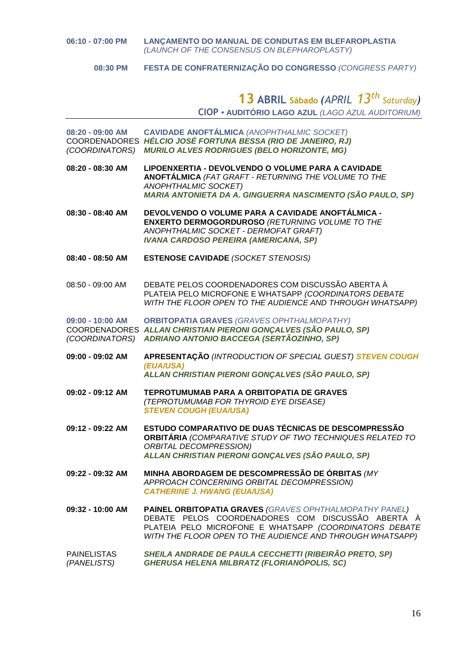**08:30 PM FESTA DE CONFRATERNIZAÇÃO DO CONGRESSO** *(CONGRESS PARTY)*

## **13 ABRIL Sábado** *(APRIL 13th Saturday)* **CIOP • AUDITÓRIO LAGO AZUL** *(LAGO AZUL AUDITORIUM)*

**08:20 - 09:00 AM CAVIDADE ANOFTÁLMICA** *(ANOPHTHALMIC SOCKET)* COORDENADORES *HÉLCIO JOSÉ FORTUNA BESSA (RIO DE JANEIRO, RJ) (COORDINATORS) MURILO ALVES RODRIGUES (BELO HORIZONTE, MG)*

**08:20 - 08:30 AM LIPOENXERTIA - DEVOLVENDO O VOLUME PARA A CAVIDADE ANOFTÁLMICA** *(FAT GRAFT - RETURNING THE VOLUME TO THE ANOPHTHALMIC SOCKET) MARIA ANTONIETA DA A. GINGUERRA NASCIMENTO (SÃO PAULO, SP)*

**08:30 - 08:40 AM DEVOLVENDO O VOLUME PARA A CAVIDADE ANOFTÁLMICA - ENXERTO DERMOGORDUROSO** *(RETURNING VOLUME TO THE ANOPHTHALMIC SOCKET - DERMOFAT GRAFT) IVANA CARDOSO PEREIRA (AMERICANA, SP)*

- **08:40 - 08:50 AM ESTENOSE CAVIDADE** *(SOCKET STENOSIS)*
- 08:50 09:00 AM DEBATE PELOS COORDENADORES COM DISCUSSÃO ABERTA À PLATEIA PELO MICROFONE E WHATSAPP *(COORDINATORS DEBATE WITH THE FLOOR OPEN TO THE AUDIENCE AND THROUGH WHATSAPP)*

**09:00 - 10:00 AM ORBITOPATIA GRAVES** *(GRAVES OPHTHALMOPATHY)* COORDENADORES *ALLAN CHRISTIAN PIERONI GONÇALVES (SÃO PAULO, SP) (COORDINATORS) ADRIANO ANTONIO BACCEGA (SERTÃOZINHO, SP)*

- **09:00 - 09:02 AM APRESENTAÇÃO** *(INTRODUCTION OF SPECIAL GUEST) STEVEN COUGH (EUA/USA) ALLAN CHRISTIAN PIERONI GONÇALVES (SÃO PAULO, SP)*
- **09:02 - 09:12 AM TEPROTUMUMAB PARA A ORBITOPATIA DE GRAVES** *(TEPROTUMUMAB FOR THYROID EYE DISEASE) STEVEN COUGH (EUA/USA)*
- **09:12 - 09:22 AM ESTUDO COMPARATIVO DE DUAS TÉCNICAS DE DESCOMPRESSÃO ORBITÁRIA** *(COMPARATIVE STUDY OF TWO TECHNIQUES RELATED TO ORBITAL DECOMPRESSION) ALLAN CHRISTIAN PIERONI GONÇALVES (SÃO PAULO, SP)*
- **09:22 - 09:32 AM MINHA ABORDAGEM DE DESCOMPRESSÃO DE ÓRBITAS** *(MY APPROACH CONCERNING ORBITAL DECOMPRESSION) CATHERINE J. HWANG (EUA/USA)*
- **09:32 - 10:00 AM PAINEL ORBITOPATIA GRAVES** *(GRAVES OPHTHALMOPATHY PANEL)* DEBATE PELOS COORDENADORES COM DISCUSSÃO ABERTA À PLATEIA PELO MICROFONE E WHATSAPP *(COORDINATORS DEBATE WITH THE FLOOR OPEN TO THE AUDIENCE AND THROUGH WHATSAPP)*
- PAINELISTAS *SHEILA ANDRADE DE PAULA CECCHETTI (RIBEIRÃO PRETO, SP) (PANELISTS) GHERUSA HELENA MILBRATZ (FLORIANÓPOLIS, SC)*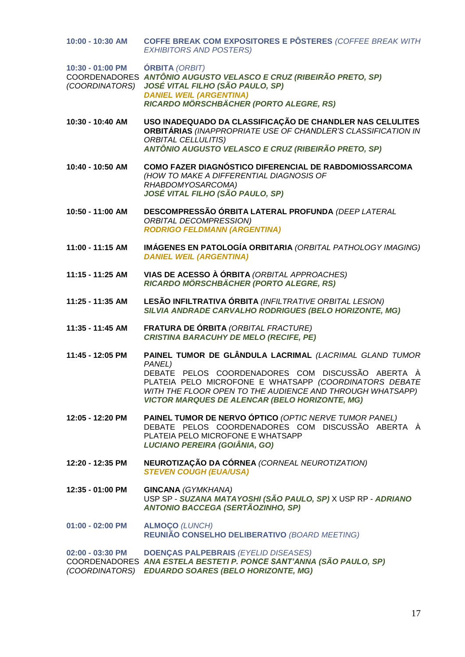**10:00 - 10:30 AM COFFE BREAK COM EXPOSITORES E PÔSTERES** *(COFFEE BREAK WITH EXHIBITORS AND POSTERS)* **10:30 - 01:00 PM ÓRBITA** *(ORBIT)* COORDENADORES *ANTÔNIO AUGUSTO VELASCO E CRUZ (RIBEIRÃO PRETO, SP) (COORDINATORS) JOSÉ VITAL FILHO (SÃO PAULO, SP) DANIEL WEIL (ARGENTINA) RICARDO MÖRSCHBÄCHER (PORTO ALEGRE, RS)* **10:30 - 10:40 AM USO INADEQUADO DA CLASSIFICAÇÃO DE CHANDLER NAS CELULITES ORBITÁRIAS** *(INAPPROPRIATE USE OF CHANDLER'S CLASSIFICATION IN ORBITAL CELLULITIS) ANTÔNIO AUGUSTO VELASCO E CRUZ (RIBEIRÃO PRETO, SP)* **10:40 - 10:50 AM COMO FAZER DIAGNÓSTICO DIFERENCIAL DE RABDOMIOSSARCOMA** *(HOW TO MAKE A DIFFERENTIAL DIAGNOSIS OF RHABDOMYOSARCOMA) JOSÉ VITAL FILHO (SÃO PAULO, SP)* **10:50 - 11:00 AM DESCOMPRESSÃO ÓRBITA LATERAL PROFUNDA** *(DEEP LATERAL ORBITAL DECOMPRESSION) RODRIGO FELDMANN (ARGENTINA)* **11:00 - 11:15 AM IMÁGENES EN PATOLOGÍA ORBITARIA** *(ORBITAL PATHOLOGY IMAGING) DANIEL WEIL (ARGENTINA)* **11:15 - 11:25 AM VIAS DE ACESSO À ÓRBITA** *(ORBITAL APPROACHES) RICARDO MÖRSCHBÄCHER (PORTO ALEGRE, RS)* **11:25 - 11:35 AM LESÃO INFILTRATIVA ÓRBITA** *(INFILTRATIVE ORBITAL LESION) SILVIA ANDRADE CARVALHO RODRIGUES (BELO HORIZONTE, MG)* **11:35 - 11:45 AM FRATURA DE ÓRBITA** *(ORBITAL FRACTURE) CRISTINA BARACUHY DE MELO (RECIFE, PE)* **11:45 - 12:05 PM PAINEL TUMOR DE GLÂNDULA LACRIMAL** *(LACRIMAL GLAND TUMOR PANEL)* DEBATE PELOS COORDENADORES COM DISCUSSÃO ABERTA À PLATEIA PELO MICROFONE E WHATSAPP *(COORDINATORS DEBATE WITH THE FLOOR OPEN TO THE AUDIENCE AND THROUGH WHATSAPP) VICTOR MARQUES DE ALENCAR (BELO HORIZONTE, MG)* **12:05 - 12:20 PM PAINEL TUMOR DE NERVO ÓPTICO** *(OPTIC NERVE TUMOR PANEL)* DEBATE PELOS COORDENADORES COM DISCUSSÃO ABERTA À PLATEIA PELO MICROFONE E WHATSAPP *LUCIANO PEREIRA (GOIÂNIA, GO)* **12:20 - 12:35 PM NEUROTIZAÇÃO DA CÓRNEA** *(CORNEAL NEUROTIZATION) STEVEN COUGH (EUA/USA)* **12:35 - 01:00 PM GINCANA** *(GYMKHANA)* USP SP - *SUZANA MATAYOSHI (SÃO PAULO, SP)* X USP RP - *ADRIANO ANTONIO BACCEGA (SERTÃOZINHO, SP)* **01:00 - 02:00 PM ALMOÇO** *(LUNCH)* **REUNIÃO CONSELHO DELIBERATIVO** *(BOARD MEETING)* **02:00 - 03:30 PM DOENÇAS PALPEBRAIS** *(EYELID DISEASES)* COORDENADORES *ANA ESTELA BESTETI P. PONCE SANT'ANNA (SÃO PAULO, SP) (COORDINATORS) EDUARDO SOARES (BELO HORIZONTE, MG)*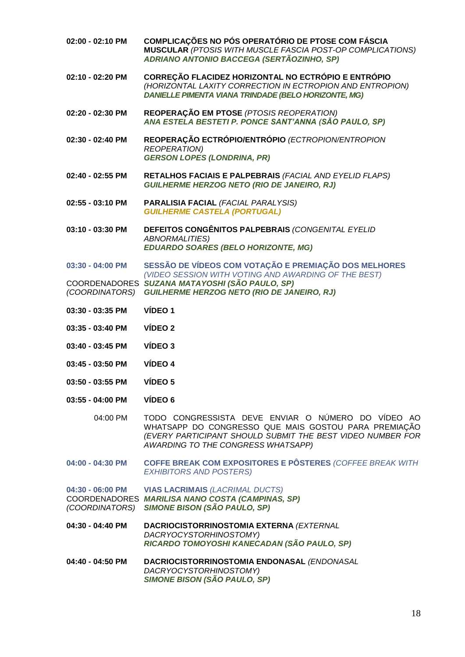| 02:00 - 02:10 PM                   | COMPLICAÇÕES NO PÓS OPERATÓRIO DE PTOSE COM FÁSCIA<br>MUSCULAR (PTOSIS WITH MUSCLE FASCIA POST-OP COMPLICATIONS)<br>ADRIANO ANTONIO BACCEGA (SERTÃOZINHO, SP)                                                  |
|------------------------------------|----------------------------------------------------------------------------------------------------------------------------------------------------------------------------------------------------------------|
| 02:10 - 02:20 PM                   | CORREÇÃO FLACIDEZ HORIZONTAL NO ECTRÓPIO E ENTRÓPIO<br>(HORIZONTAL LAXITY CORRECTION IN ECTROPION AND ENTROPION)<br>DANIELLE PIMENTA VIANA TRINDADE (BELO HORIZONTE, MG)                                       |
| 02:20 - 02:30 PM                   | REOPERAÇÃO EM PTOSE (PTOSIS REOPERATION)<br>ANA ESTELA BESTETI P. PONCE SANT'ANNA (SÃO PAULO, SP)                                                                                                              |
| 02:30 - 02:40 PM                   | REOPERAÇÃO ECTRÓPIO/ENTRÓPIO (ECTROPION/ENTROPION<br><b>REOPERATION)</b><br><b>GERSON LOPES (LONDRINA, PR)</b>                                                                                                 |
| 02:40 - 02:55 PM                   | RETALHOS FACIAIS E PALPEBRAIS (FACIAL AND EYELID FLAPS)<br><b>GUILHERME HERZOG NETO (RIO DE JANEIRO, RJ)</b>                                                                                                   |
| 02:55 - 03:10 PM                   | <b>PARALISIA FACIAL (FACIAL PARALYSIS)</b><br><b>GUILHERME CASTELA (PORTUGAL)</b>                                                                                                                              |
| 03:10 - 03:30 PM                   | DEFEITOS CONGÊNITOS PALPEBRAIS (CONGENITAL EYELID<br><b>ABNORMALITIES)</b><br><b>EDUARDO SOARES (BELO HORIZONTE, MG)</b>                                                                                       |
| 03:30 - 04:00 PM                   | SESSÃO DE VÍDEOS COM VOTAÇÃO E PREMIAÇÃO DOS MELHORES                                                                                                                                                          |
| (COORDINATORS)                     | (VIDEO SESSION WITH VOTING AND AWARDING OF THE BEST)<br>COORDENADORES SUZANA MATAYOSHI (SÃO PAULO, SP)<br><b>GUILHERME HERZOG NETO (RIO DE JANEIRO, RJ)</b>                                                    |
| 03:30 - 03:35 PM                   | VÍDEO 1                                                                                                                                                                                                        |
| 03:35 - 03:40 PM                   | VÍDEO 2                                                                                                                                                                                                        |
| 03:40 - 03:45 PM                   | VÍDEO 3                                                                                                                                                                                                        |
| 03:45 - 03:50 PM                   | VÍDEO 4                                                                                                                                                                                                        |
| 03:50 - 03:55 PM                   | VÍDEO 5                                                                                                                                                                                                        |
| $03:55 - 04:00$ PM                 | VÍDEO 6                                                                                                                                                                                                        |
| 04:00 PM                           | TODO CONGRESSISTA DEVE ENVIAR O NÚMERO DO VÍDEO AO<br>WHATSAPP DO CONGRESSO QUE MAIS GOSTOU PARA PREMIAÇÃO<br>(EVERY PARTICIPANT SHOULD SUBMIT THE BEST VIDEO NUMBER FOR<br>AWARDING TO THE CONGRESS WHATSAPP) |
| 04:00 - 04:30 PM                   | COFFE BREAK COM EXPOSITORES E PÔSTERES (COFFEE BREAK WITH<br><b>EXHIBITORS AND POSTERS)</b>                                                                                                                    |
| 04:30 - 06:00 PM<br>(COORDINATORS) | <b>VIAS LACRIMAIS (LACRIMAL DUCTS)</b><br>COORDENADORES MARILISA NANO COSTA (CAMPINAS, SP)<br><b>SIMONE BISON (SÃO PAULO, SP)</b>                                                                              |
| 04:30 - 04:40 PM                   | DACRIOCISTORRINOSTOMIA EXTERNA (EXTERNAL<br>DACRYOCYSTORHINOSTOMY)<br>RICARDO TOMOYOSHI KANECADAN (SÃO PAULO, SP)                                                                                              |
| 04:40 - 04:50 PM                   | DACRIOCISTORRINOSTOMIA ENDONASAL (ENDONASAL<br>DACRYOCYSTORHINOSTOMY)<br><b>SIMONE BISON (SÃO PAULO, SP)</b>                                                                                                   |
|                                    |                                                                                                                                                                                                                |